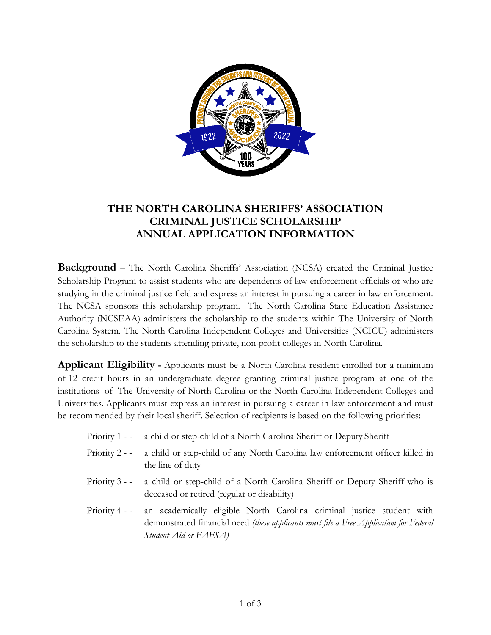

# **THE NORTH CAROLINA SHERIFFS' ASSOCIATION CRIMINAL JUSTICE SCHOLARSHIP ANNUAL APPLICATION INFORMATION**

**Background –** The North Carolina Sheriffs' Association (NCSA) created the Criminal Justice Scholarship Program to assist students who are dependents of law enforcement officials or who are studying in the criminal justice field and express an interest in pursuing a career in law enforcement. The NCSA sponsors this scholarship program. The North Carolina State Education Assistance Authority (NCSEAA) administers the scholarship to the students within The University of North Carolina System. The North Carolina Independent Colleges and Universities (NCICU) administers the scholarship to the students attending private, non-profit colleges in North Carolina.

**Applicant Eligibility -** Applicants must be a North Carolina resident enrolled for a minimum of 12 credit hours in an undergraduate degree granting criminal justice program at one of the institutions of The University of North Carolina or the North Carolina Independent Colleges and Universities. Applicants must express an interest in pursuing a career in law enforcement and must be recommended by their local sheriff. Selection of recipients is based on the following priorities:

- Priority 1 - a child or step-child of a North Carolina Sheriff or Deputy Sheriff
- Priority 2 - a child or step-child of any North Carolina law enforcement officer killed in the line of duty
- Priority 3 - a child or step-child of a North Carolina Sheriff or Deputy Sheriff who is deceased or retired (regular or disability)
- Priority 4 - an academically eligible North Carolina criminal justice student with demonstrated financial need *(these applicants must file a Free Application for Federal Student Aid or FAFSA)*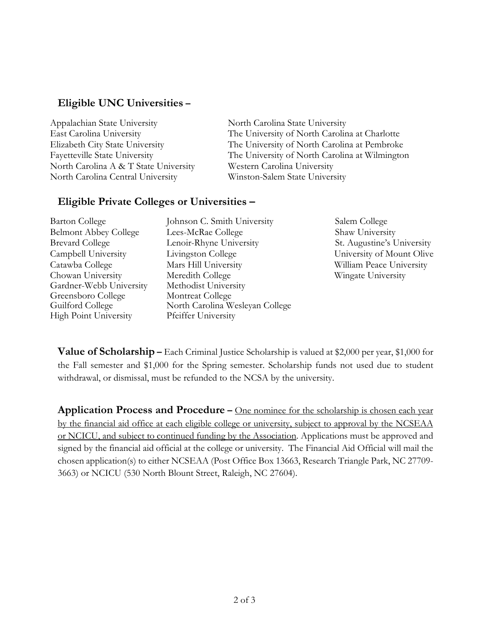### **Eligible UNC Universities –**

| North Carolina State University                |
|------------------------------------------------|
| The University of North Carolina at Charlotte  |
| The University of North Carolina at Pembroke   |
| The University of North Carolina at Wilmington |
| Western Carolina University                    |
| Winston-Salem State University                 |
|                                                |

#### **Eligible Private Colleges or Universities –**

| <b>Barton College</b>        | Johnson C. Smith University     | Salem College              |
|------------------------------|---------------------------------|----------------------------|
| <b>Belmont Abbey College</b> | Lees-McRae College              | Shaw University            |
| <b>Brevard College</b>       | Lenoir-Rhyne University         | St. Augustine's University |
| Campbell University          | Livingston College              | University of Mount Olive  |
| Catawba College              | Mars Hill University            | William Peace University   |
| Chowan University            | Meredith College                | Wingate University         |
| Gardner-Webb University      | Methodist University            |                            |
| Greensboro College           | Montreat College                |                            |
| Guilford College             | North Carolina Wesleyan College |                            |
| High Point University        | Pfeiffer University             |                            |

**Value of Scholarship –** Each Criminal Justice Scholarship is valued at \$2,000 per year, \$1,000 for the Fall semester and \$1,000 for the Spring semester. Scholarship funds not used due to student withdrawal, or dismissal, must be refunded to the NCSA by the university.

**Application Process and Procedure –** One nominee for the scholarship is chosen each year by the financial aid office at each eligible college or university, subject to approval by the NCSEAA or NCICU, and subject to continued funding by the Association. Applications must be approved and signed by the financial aid official at the college or university. The Financial Aid Official will mail the chosen application(s) to either NCSEAA (Post Office Box 13663, Research Triangle Park, NC 27709- 3663) or NCICU (530 North Blount Street, Raleigh, NC 27604).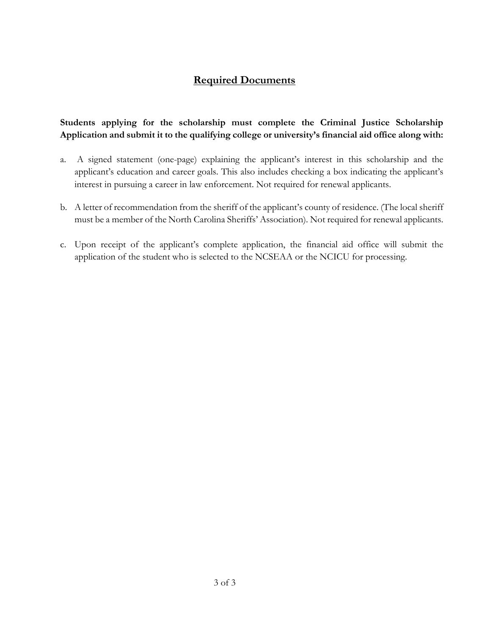## **Required Documents**

#### **Students applying for the scholarship must complete the Criminal Justice Scholarship Application and submit it to the qualifying college or university's financial aid office along with:**

- a. A signed statement (one-page) explaining the applicant's interest in this scholarship and the applicant's education and career goals. This also includes checking a box indicating the applicant's interest in pursuing a career in law enforcement. Not required for renewal applicants.
- b. A letter of recommendation from the sheriff of the applicant's county of residence. (The local sheriff must be a member of the North Carolina Sheriffs' Association). Not required for renewal applicants.
- c. Upon receipt of the applicant's complete application, the financial aid office will submit the application of the student who is selected to the NCSEAA or the NCICU for processing.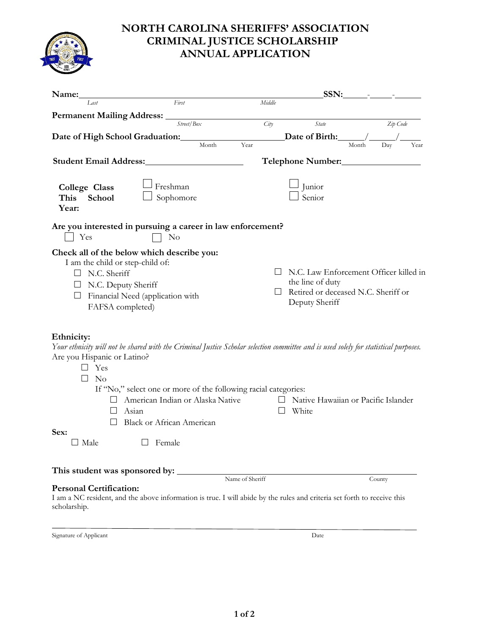

# **NORTH CAROLINA SHERIFFS' ASSOCIATION CRIMINAL JUSTICE SCHOLARSHIP ANNUAL APPLICATION**

| Name:                                                                                                             |                                                                                                                                                                                                                                                                                                           |                 | SSN:                                                                      |                                        |
|-------------------------------------------------------------------------------------------------------------------|-----------------------------------------------------------------------------------------------------------------------------------------------------------------------------------------------------------------------------------------------------------------------------------------------------------|-----------------|---------------------------------------------------------------------------|----------------------------------------|
| Last                                                                                                              | First                                                                                                                                                                                                                                                                                                     | Middle          |                                                                           |                                        |
| <b>Permanent Mailing Address:</b>                                                                                 |                                                                                                                                                                                                                                                                                                           |                 |                                                                           |                                        |
|                                                                                                                   | Street/Box                                                                                                                                                                                                                                                                                                | City            | State                                                                     | Zip Code                               |
| Date of High School Graduation:                                                                                   |                                                                                                                                                                                                                                                                                                           |                 | Date of Birth:                                                            |                                        |
|                                                                                                                   | Month                                                                                                                                                                                                                                                                                                     | Year            |                                                                           | Month<br>Day<br>Year                   |
| <b>Student Email Address:</b>                                                                                     |                                                                                                                                                                                                                                                                                                           |                 | Telephone Number:<br><u>Internal product</u>                              |                                        |
| College Class<br><b>School</b><br>This<br>Year:                                                                   | Freshman<br>Sophomore                                                                                                                                                                                                                                                                                     |                 | Junior<br>Senior                                                          |                                        |
| Yes                                                                                                               | Are you interested in pursuing a career in law enforcement?<br>$\rm No$                                                                                                                                                                                                                                   |                 |                                                                           |                                        |
| I am the child or step-child of:<br>N.C. Sheriff<br>$\Box$<br>$\Box$ N.C. Deputy Sheriff<br>ш<br>FAFSA completed) | Check all of the below which describe you:<br>Financial Need (application with                                                                                                                                                                                                                            |                 | the line of duty<br>Retired or deceased N.C. Sheriff or<br>Deputy Sheriff | N.C. Law Enforcement Officer killed in |
| Ethnicity:<br>Are you Hispanic or Latino?<br>Yes<br>$\Box$<br>N <sub>o</sub><br>$\perp$<br>Sex:<br>$\Box$ Male    | Your ethnicity will not be shared with the Criminal Justice Scholar selection committee and is used solely for statistical purposes.<br>If "No," select one or more of the following racial categories:<br>American Indian or Alaska Native<br>Asian<br><b>Black or African American</b><br>$\Box$ Female |                 | □ Native Hawaiian or Pacific Islander<br>White                            |                                        |
|                                                                                                                   |                                                                                                                                                                                                                                                                                                           |                 |                                                                           |                                        |
| This student was sponsored by:                                                                                    |                                                                                                                                                                                                                                                                                                           | Name of Sheriff |                                                                           | County                                 |
| <b>Personal Certification:</b><br>scholarship.                                                                    | I am a NC resident, and the above information is true. I will abide by the rules and criteria set forth to receive this                                                                                                                                                                                   |                 |                                                                           |                                        |
| Signature of Applicant                                                                                            |                                                                                                                                                                                                                                                                                                           |                 | Date                                                                      |                                        |